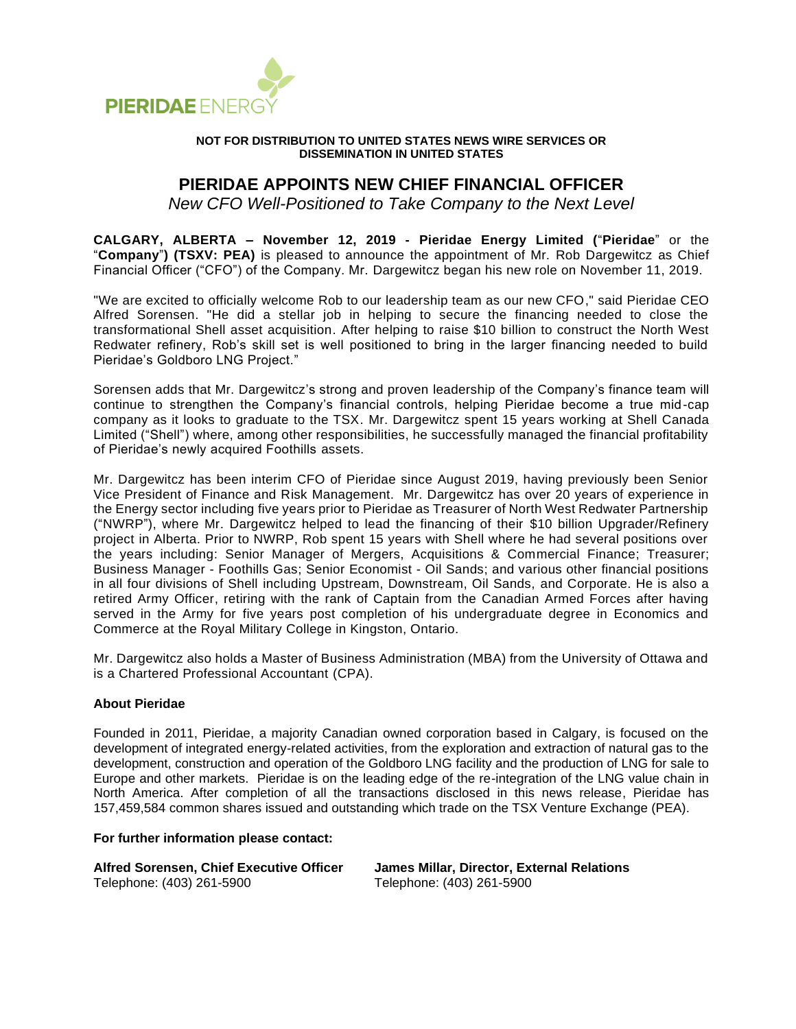

## **NOT FOR DISTRIBUTION TO UNITED STATES NEWS WIRE SERVICES OR DISSEMINATION IN UNITED STATES**

## **PIERIDAE APPOINTS NEW CHIEF FINANCIAL OFFICER**

*New CFO Well-Positioned to Take Company to the Next Level*

**CALGARY, ALBERTA – November 12, 2019 - Pieridae Energy Limited (**"**Pieridae**" or the "**Company**"**) (TSXV: PEA)** is pleased to announce the appointment of Mr. Rob Dargewitcz as Chief Financial Officer ("CFO") of the Company. Mr. Dargewitcz began his new role on November 11, 2019.

"We are excited to officially welcome Rob to our leadership team as our new CFO," said Pieridae CEO Alfred Sorensen. "He did a stellar job in helping to secure the financing needed to close the transformational Shell asset acquisition. After helping to raise \$10 billion to construct the North West Redwater refinery, Rob's skill set is well positioned to bring in the larger financing needed to build Pieridae's Goldboro LNG Project."

Sorensen adds that Mr. Dargewitcz's strong and proven leadership of the Company's finance team will continue to strengthen the Company's financial controls, helping Pieridae become a true mid-cap company as it looks to graduate to the TSX. Mr. Dargewitcz spent 15 years working at Shell Canada Limited ("Shell") where, among other responsibilities, he successfully managed the financial profitability of Pieridae's newly acquired Foothills assets.

Mr. Dargewitcz has been interim CFO of Pieridae since August 2019, having previously been Senior Vice President of Finance and Risk Management. Mr. Dargewitcz has over 20 years of experience in the Energy sector including five years prior to Pieridae as Treasurer of North West Redwater Partnership ("NWRP"), where Mr. Dargewitcz helped to lead the financing of their \$10 billion Upgrader/Refinery project in Alberta. Prior to NWRP, Rob spent 15 years with Shell where he had several positions over the years including: Senior Manager of Mergers, Acquisitions & Commercial Finance; Treasurer; Business Manager - Foothills Gas; Senior Economist - Oil Sands; and various other financial positions in all four divisions of Shell including Upstream, Downstream, Oil Sands, and Corporate. He is also a retired Army Officer, retiring with the rank of Captain from the Canadian Armed Forces after having served in the Army for five years post completion of his undergraduate degree in Economics and Commerce at the Royal Military College in Kingston, Ontario.

Mr. Dargewitcz also holds a Master of Business Administration (MBA) from the University of Ottawa and is a Chartered Professional Accountant (CPA).

## **About Pieridae**

Founded in 2011, Pieridae, a majority Canadian owned corporation based in Calgary, is focused on the development of integrated energy-related activities, from the exploration and extraction of natural gas to the development, construction and operation of the Goldboro LNG facility and the production of LNG for sale to Europe and other markets. Pieridae is on the leading edge of the re-integration of the LNG value chain in North America. After completion of all the transactions disclosed in this news release, Pieridae has 157,459,584 common shares issued and outstanding which trade on the TSX Venture Exchange (PEA).

## **For further information please contact:**

**Alfred Sorensen, Chief Executive Officer James Millar, Director, External Relations** Telephone: (403) 261-5900 Telephone: (403) 261-5900